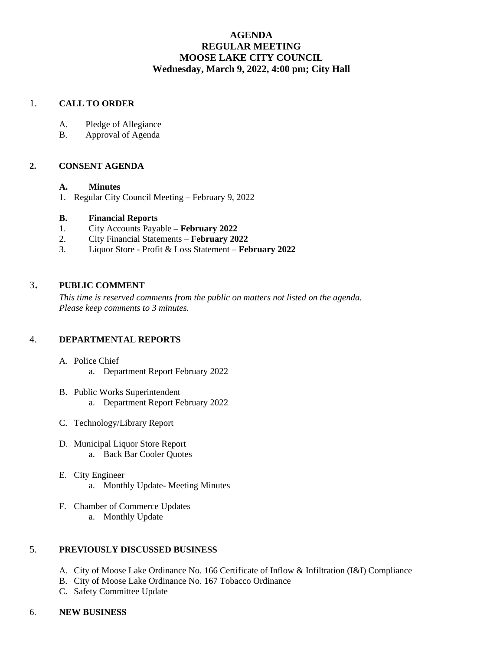# **AGENDA REGULAR MEETING MOOSE LAKE CITY COUNCIL Wednesday, March 9, 2022, 4:00 pm; City Hall**

## 1. **CALL TO ORDER**

- A. Pledge of Allegiance
- B. Approval of Agenda

## **2. CONSENT AGENDA**

## **A. Minutes**

1. Regular City Council Meeting – February 9, 2022

## **B. Financial Reports**

- 1. City Accounts Payable **– February 2022**
- 2. City Financial Statements **February 2022**
- 3. Liquor Store Profit & Loss Statement **February 2022**

## <sup>3</sup>. **PUBLIC COMMENT**

*This time is reserved comments from the public on matters not listed on the agenda. Please keep comments to 3 minutes.*

## 4. **DEPARTMENTAL REPORTS**

- A. Police Chief
	- a. Department Report February 2022
- B. Public Works Superintendent a. Department Report February 2022
- C. Technology/Library Report
- D. Municipal Liquor Store Report a. Back Bar Cooler Quotes
- E. City Engineer a. Monthly Update- Meeting Minutes
- F. Chamber of Commerce Updates a. Monthly Update

## 5. **PREVIOUSLY DISCUSSED BUSINESS**

- A. City of Moose Lake Ordinance No. 166 Certificate of Inflow & Infiltration (I&I) Compliance
- B. City of Moose Lake Ordinance No. 167 Tobacco Ordinance
- C. Safety Committee Update
- 6. **NEW BUSINESS**